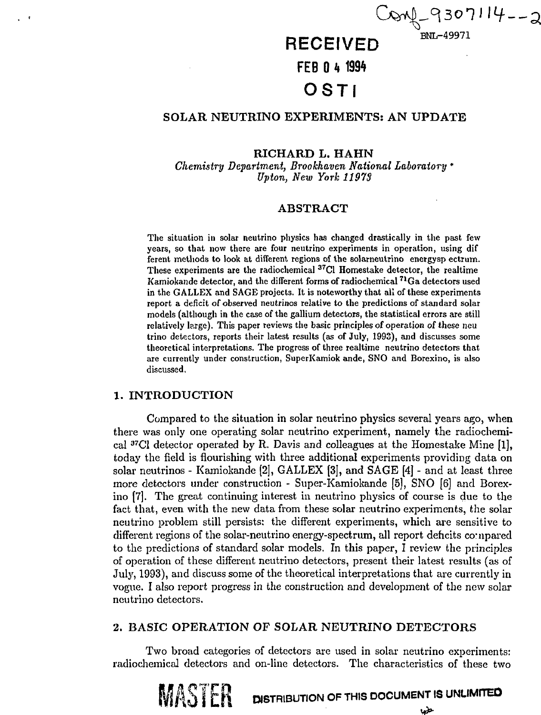$29307114 - 2$ 

#### **RECEIVED 8NL-49971**

**FEB 0 k<sup>1994</sup>**

# **OSTI**

# SOLAR NEUTRINO EXPERIMENTS: AN UPDATE

## **RICHARD L. HAHN**

*Chemistry Department, Brookhaven National Laboratory \* Upton, New York 11913*

## **ABSTRACT**

The situation in solar neutrino physics has changed drastically in the past few years, so that now there are four neutrino experiments in operation, using dif ferent methods to look at different regions of the solarneutrino energysp ectrum. These experiments are the radiochemical <sup>37</sup>Cl Homestake detector, the realtime Kamiokande detector, and the different forms of radiochemical <sup>71</sup>Ga detectors used in the GALLEX and SAGE projects. It is noteworthy that all of these experiments report a deficit of observed neutrinos relative to the predictions of standard solar models (although in the case of the gallium detectors, the statistical errors are still relatively large). This paper reviews the basic principles of operation of these neu trino detectors, reports their latest results (as of July, 1993), and discusses some theoretical interpretations. The progress of three realtime neutrino detectors that are currently under construction, SuperKamiok ande, SNO and Borexino, is also discussed,

#### **1. INTRODUCTION**

Compared to the situation in solar neutrino physics several years ago, when there was only one operating solar neutrino experiment, namely the radiochemical <sup>37</sup>C1 detector operated by R. Davis and colleagues at the Homestake Mine [1], today the field is flourishing with three additional experiments providing data on solar neutrinos - Kamiokande [2], GALLEX [3], and SAGE [4] - and at least three more detectors under construction - Super-Kamiokande [5], SNO [6] and Borexino [7]. The great continuing interest in neutrino physics of course is due to the fact that, even with the new data from these solar neutrino experiments, the solar neutrino problem still persists: the different experiments, which are sensitive to different regions of the solar-neutrino energy-spectrum, all report deficits compared to the predictions of standard solar models. In this paper, I review the principles of operation of these different neutrino detectors, present their latest results (as of July, 1993), and discuss some of the theoretical interpretations that are currently in vogue. I also report progress in the construction and development of the new solar neutrino detectors.

## **2. BASIC OPERATION OF SOLAR NEUTRINO DETECTORS**

Two broad categories of detectors are used in solar neutrino experiments: radiochemical detectors and on-line detectors. The characteristics of these two

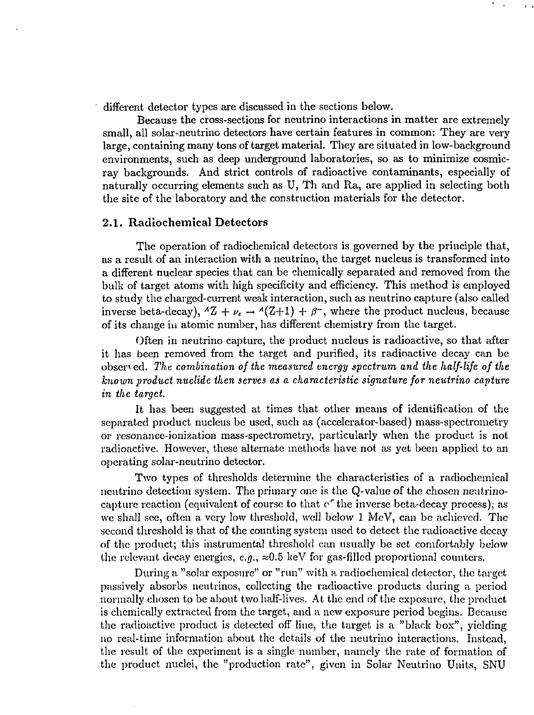different detector types are discussed in the sections below.

Because the cross-sections for neutrino interactions in matter are extremely small, all solar-neutrino detectors have certain features in common: They are very large, containing many tons of target material. They are situated in low-background environments, such as deep underground laboratories, so as to minimize cosmicray backgrounds. And strict controls of radioactive contaminants, especially of naturally occurring elements such as U, Th and Ra, are applied in selecting both the site of the laboratory and the construction materials for the detector.

### **2.1. Radiochemical Detectors**

The operation of radiochemical detectors is governed by the principle that, as a result of an interaction with a neutrino, the target nucleus is transformed into a different nuclear species that can be chemically separated and removed from the bulk of target atoms with high specificity and efficiency. This method is employed to study the charged-current weak interaction, such as neutrino capture (also called inverse beta-decay),  ${}^A Z + \nu_e \rightarrow {}^A (Z+1) + \beta^-$ , where the product nucleus, because of its change in atomic number, has different chemistry from the target.

Often in neutrino capture, the product nucleus is radioactive, so that after it has been removed from the target and purified, its radioactive decay can be observed. *The combination of the measured energy spectrum and the half-life of the known product nuclide then serves as a characteristic signature for neutrino capture in the target.*

It has been suggested at times that other means of identification of the separated product nucleus be used, such as (accelerator-based) mass-spectrometry or resonance-ionization mass-spectrometry, particularly when the product is not radioactive. However, these alternate methods have not as yet been applied to an operating solar-neutrino detector.

Two types of thresholds determine the characteristics of a radiochemical neutrino detection system. The primary one is the Q-value of the chosen neutrinocapture reaction (equivalent of course to that c<sup>o</sup> the inverse beta-decay process); as we shall see, often a very low threshold, well below 1 MeV, can be achieved. The second threshold is that of the counting system used to detect the radioactive decay of the product; this instrumental threshold can usually be set comfortably below the relevant decay energies,  $e.g., \approx 0.5$  keV for gas-filled proportional counters.

During a "solar exposure" or "run" with a radiochcmical detector, the target passively absorbs neutrinos, collecting the radioactive products during a period normally chosen to be about two half-lives. At the end of the exposure, the product is chemically extracted from the target, and a new exposure period begins. Because the radioactive product is detected off line, the target is a "black box", yielding no real-time information about the details of the neutrino interactions. Instead, the result of the experiment is a single number, namely the rate of formation of the product nuclei, the "production rate", given in Solar Neutrino Units, SNU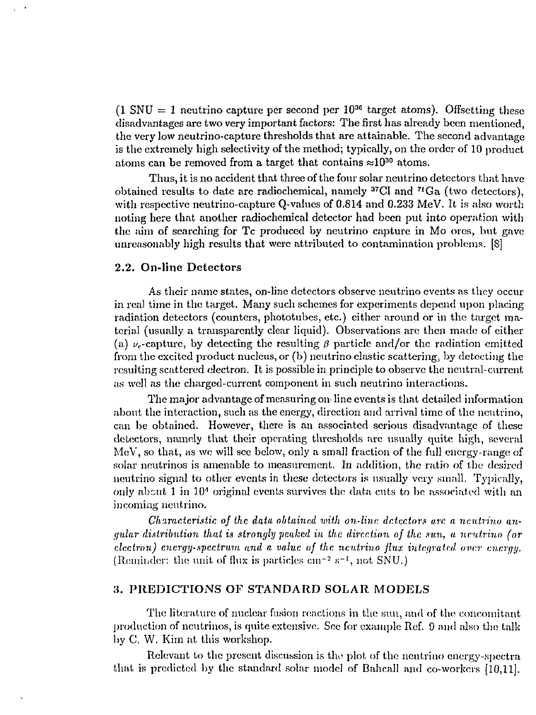$(1 \text{ SNU} = 1 \text{ neutrino capture per second per } 10^{36} \text{ target atoms}).$  Offsetting these disadvantages are two very important factors: The first has already been mentioned, the very low neutrino-capture thresholds that are attainable. The second advantage is the extremely high selectivity of the method; typically, on the order of 10 product atoms can be removed from a target that contains  $\approx 10^{30}$  atoms.

Thus, it is no accident that three of the four solar neutrino detectors that have obtained results to date are radiochemical, namely <sup>37</sup>Cl and <sup>71</sup>Ga (two detectors) with respective neutrino-capture Q-values of 0.814 and 0.233 MeV. It is also worth noting here that another radiochemical detector had been put into operation with the aim of searching for Tc produced by neutrino capture in Mo ores, but gave unreasonably high results that were attributed to contamination problems. [S]

#### **2.2. On-line Detectors**

As their name states, on-line detectors observe neutrino events as they occur in reaJ time in the target. Many such schemes for experiments depend upon placing radiation detectors (counters, phototubes, etc.) either around or in the target material (usually a transparently clear liquid). Observations are then made of either (a)  $\nu_e$ -capture, by detecting the resulting  $\beta$  particle and/or the radiation emitted from the excited product nucleus, or (b) neutrino elastic scattering, by detecting the resulting scattered electron. It is possible in principle to observe the neutral-current as well as the charged-current component in such neutrino interactions.

The major advantage of measuring on line events is that detailed information about the interaction, such as the energy, direction and arrival time of the neutrino, can be obtained. However, there is an associated serious disadvantage of these detectors, namely that their operating thresholds arc usually quite high, several MeV, so that, as we will see below, only a small fraction of the full energy-range of solar neutrinos is amenable to measurement. In addition, the ratio of the desired neutrino signal to other events in these detectors is usually very small. Typically, only about 1 in  $10^4$  original events survives the data cuts to be associated with an incoming neutrino.

*Characteristic of the data obtained with on-line detectors are a neutrino angular distribution thai is strongly peaked in the direction of the sun, a neutrino (or electron) energy-spectrum and a value of the neutrino flux integrated over energy.* (Reminder: the unit of flux is particles  $cm^{-2} s^{-1}$ , not SNU.)

### **3. PREDICTIONS OF STANDARD SOLAR MODELS**

The literature of nuclear fusion reactions in the sun, and of the concomitant production of neutrinos, is quite extensive. Sec for example Ref. 9 and also the talk by C. W. Kim at this workshop.

Relevant to the present discussion is the plot of the neutrino energy-spectra that is predicted by the standard solar model of Bahcall and co-workers  $[10,11]$ .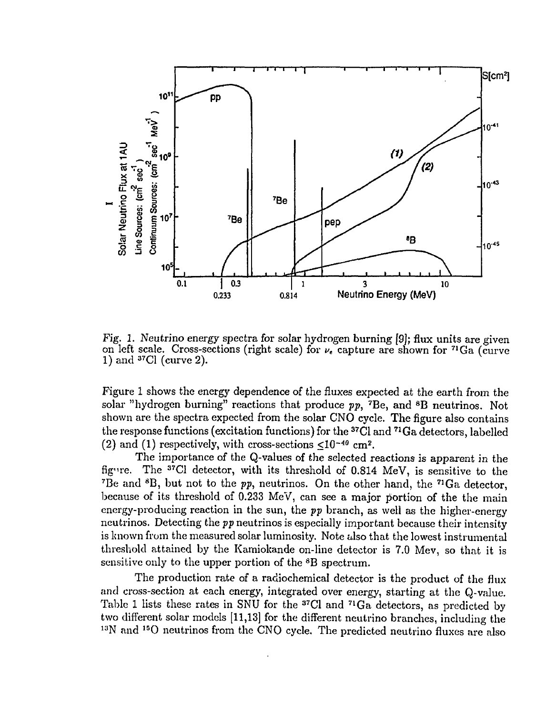

Fig. 1. Neutrino energy spectra for solar hydrogen burning [9]; flux units are given on left scale. Cross-sections (right scale) for *vc* capture are shown for <sup>71</sup>Ga (curve  $1)$  and  $37$ Cl (curve 2).

Figure 1 shows the energy dependence of the fluxes expected at the earth from the solar "hydrogen burning" reactions that produce  $pp$ , <sup>7</sup>Be, and <sup>8</sup>B neutrinos. Not shown are the spectra expected from the solar CNO cycle. The figure also contains the response functions (excitation functions) for the <sup>37</sup>Cl and <sup>71</sup>Ga detectors, labelled (2) and (1) respectively, with cross-sections  $\leq 10^{-40}$  cm<sup>2</sup>.

The importance of the Q-values of the selected reactions is apparent in the  ${\rm f\bar{g}}$ ure. <sup>37</sup>C1 detector, with its threshold of 0.814 MeV, is sensitive to the <sup>7</sup>Be and <sup>8</sup>B, but not to the  $pp$ , neutrinos. On the other hand, the <sup>71</sup>Ga detector because of its threshold of 0.233 MeV, can see a major portion of the the main energy-producing reaction in the sun, the *pp* branch, as well as the higher-energy neutrinos. Detecting the *pp* neutrinos is especially important because their intensity is known from the measured solar luminosity. Note also that the lowest instrumental threshold attained by the Kamiokande on-line detector is 7.0 Mev, so that it is sensitive only to the upper portion of the <sup>8</sup>B spectrum.

The production rate of a radiochemical detector is the product of the flux and cross-section at each energy, integrated over energy, starting at the Q-value. Table 1 lists these rates in SNU for the  $37Cl$  and  $71Ga$  detectors, as predicted by two different solar models [11,13] for the different neutrino branches, including the <sup>13</sup>N and <sup>15</sup>O neutrinos from the CNO cycle. The predicted neutrino fluxes are also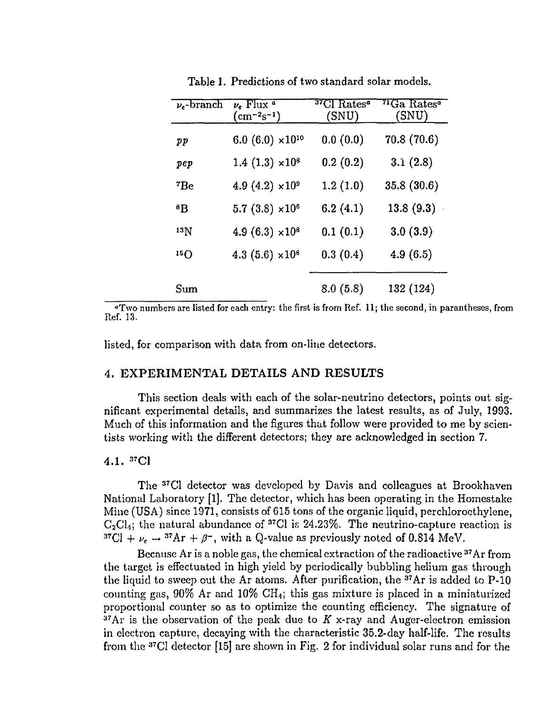| $\nu_e$ -branch | $\nu_e$ Flux $\alpha$<br>$\rm (cm^{-2}s^{-1})$ | $^{37}\mathrm{Cl}$ Rates $^a$<br>(SNU) | $\rm ^{71}Ga\;Rates$ a<br>(SNU) |
|-----------------|------------------------------------------------|----------------------------------------|---------------------------------|
| pp              | 6.0 (6.0) $\times 10^{10}$                     | 0.0(0.0)                               | 70.8 (70.6)                     |
| pep             | $1.4(1.3) \times 10^8$                         | 0.2(0.2)                               | 3.1(2.8)                        |
| $^7Be$          | 4.9 (4.2) $\times 10^9$                        | 1.2(1.0)                               | 35.8(30.6)                      |
| 8Β              | $5.7(3.8) \times 10^6$                         | 6.2(4.1)                               | 13.8(9.3)                       |
| 13 N            | 4.9 $(6.3) \times 10^8$                        | 0.1(0.1)                               | 3.0(3.9)                        |
| 15()            | 4.3 $(5.6) \times 10^8$                        | 0.3(0.4)                               | 4.9(6.5)                        |
| Sum             |                                                | 8.0(5.8)                               | 132 (124)                       |

Table 1. Predictions of two standard solar models.

 $\alpha$ ' Two numbers are listed for each entry: the first is from Ref. 11; the second, in parantheses, from Ref. 13.

listed, for comparison with data from on-line detectors.

## 4. **EXPERIMENTAL DETAILS AND RESULTS**

This section deals with each of the solar-neutrino detectors, points out significant experimental details, and summarizes the latest results, as of July, 1993. Much of this information and the figures that follow were provided to me by scientists working with the different detectors; they are acknowledged in section 7.

# 4.1. <sup>37</sup>C1

The <sup>37</sup>Cl detector was developed by Davis and colleagues at Brookhaven National Laboratory [1]. The detector, which has been operating in the Homestake Mine (USA) since 1971, consists of 615 tons of the organic liquid, perchloroethylene,  $C_2Cl<sub>4</sub>$ ; the natural abundance of <sup>37</sup>Cl is 24.23%. The neutrino-capture reaction is  ${}^{37}Cl + \nu_e \rightarrow {}^{37}Ar + \beta^-$ , with a Q-value as previously noted of 0.814 MeV.

Because Ar is a noble gas, the chemical extraction of the radioactive <sup>37</sup>Ar from the target is effectuated in high yield by periodically bubbling helium gas through the liquid to sweep out the Ar atoms. After purification, the <sup>37</sup>Ar is added to P-10 counting gas,  $90\%$  Ar and  $10\%$  CH<sub>4</sub>; this gas mixture is placed in a miniaturized proportional counter so as to optimize the counting efficiency. The signature of <sup>37</sup>Ar is the observation of the peak due to *K* x-ray and Auger-electron emission in electron capture, decaying with the characteristic 35.2-day half-life. The results from the <sup>37</sup>C1 detector [15] are shown in Fig. 2 for individual solar runs and for the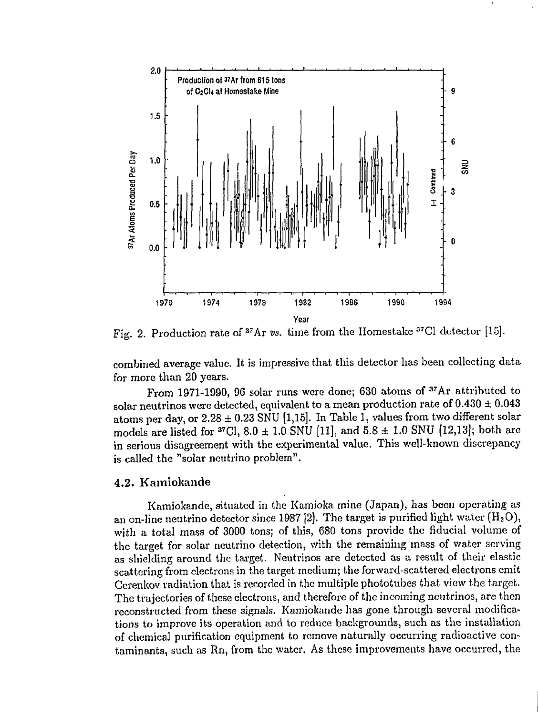

Fig. 2. Production rate of <sup>37</sup>Ar vs. time from the Homestake <sup>37</sup>Cl detector [15].

combined average value. It is impressive that this detector has been collecting data for more than 20 years.

From 1971-1990, 96 solar runs were done; 630 atoms of <sup>37</sup>Ar attributed to solar neutrinos were detected, equivalent to a mean production rate of  $0.430 \pm 0.043$ atoms per day, or  $2.28 \pm 0.23$  SNU [1,15]. In Table 1, values from two different solar models are listed for  ${}^{37}$ Cl,  $8.0 \pm 1.0$  SNU [11], and  $5.8 \pm 1.0$  SNU [12,13]; both are in serious disagreement with the experimental value. This well-known discrepancy is called the "solar neutrino problem".

## 4.2. Kamiokande

Kamiokande, situated in the Kamioka mine (Japan), has been operating as an on-line neutrino detector since 1987 [2]. The target is purified light water  $(H_2O)$ , with a total mass of 3000 tons; of this, 680 tons provide the fiducial volume of the target for solar neutrino detection, with the remaining mass of water serving as shielding around the target. Neutrinos are detected as a result of their elastic scattering from electrons in the target medium; the forward-scattered electrons emit Cerenkov radiation that is recorded in the multiple phototubes that view the target. The trajectories of these electrons, and therefore of the incoming neutrinos, are then reconstructed from these signals. Kamiokande has gone through several modifications to improve its operation and to reduce backgrounds, such as the installation of chemical purification equipment to remove naturally occurring radioactive contaminants, such as Rn, from the water. As these improvements have occurred, the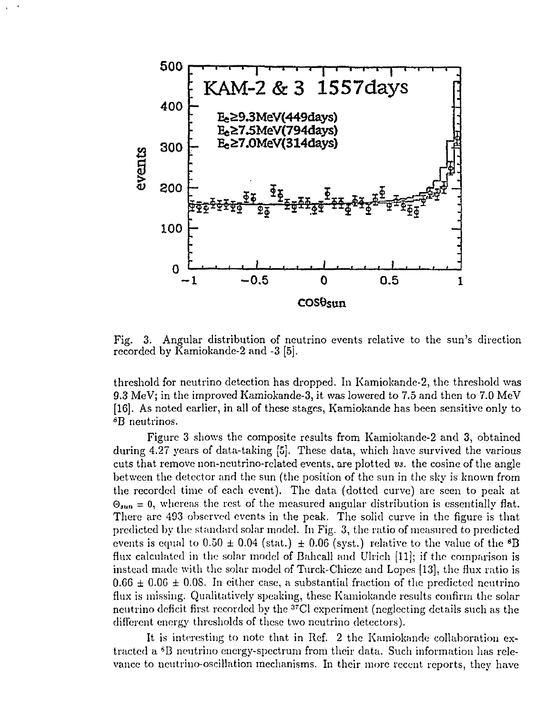

Fig. 3. Angular distribution of neutrino events relative to the sun's direction recorded by Kamiokande-2 and -3 [5],

threshold for neutrino detection has dropped. In Kamiokande-2, the threshold was 9.3 MeV; in the improved Kamiokande-3, it was lowered to 7.5 and then to 7.0 MeV [16]. As noted earlier, in all of these stages, Kamiokande has been sensitive only to *<sup>8</sup>B* neutrinos.

Figure 3 shows the composite results from Kamiokande-2 and 3, obtained during 4.27 years of data-taking [5j. These data, which have survived the various cuts that remove non-neutrino-related events, are plotted *vs.* the cosine of the angle between the detector and the sun (the position of the sun in the sky is known from the recorded time of each event). The data (dotted curve) are seen to peak at  $\Theta_{\text{sun}} = 0$ , whereas the rest of the measured angular distribution is essentially flat. There arc 493 observed events in the peak. The solid curve in the figure is that predicted by the standard solar model. In Fig. 3, the ratio of measured to predicted events is equal to  $0.50 \pm 0.04$  (stat.)  $\pm 0.06$  (syst.) relative to the value of the <sup>8</sup>E flux calculated in the solar model of Bahcall and Ulrich [11]; if the comparison is instead made with the solar model of Turck-Chieze and Lopes [13], the flux ratio is  $0.66 \pm 0.06 \pm 0.08$ . In either case, a substantial fraction of the predicted neutrino flux is missing. Qualitatively speaking, these Kamiokande results confirm the solar neutrino deficit first recorded by the <sup>37</sup>Cl experiment (neglecting details such as the different energy thresholds of these two neutrino detectors).

It is interesting to note that in Ref. 2 the Kamiokande collaboration extracted a \*B neutrino energy-spectrum from their data. Such information has relevance to neutrino-oscillation mechanisms. In their more recent reports, they have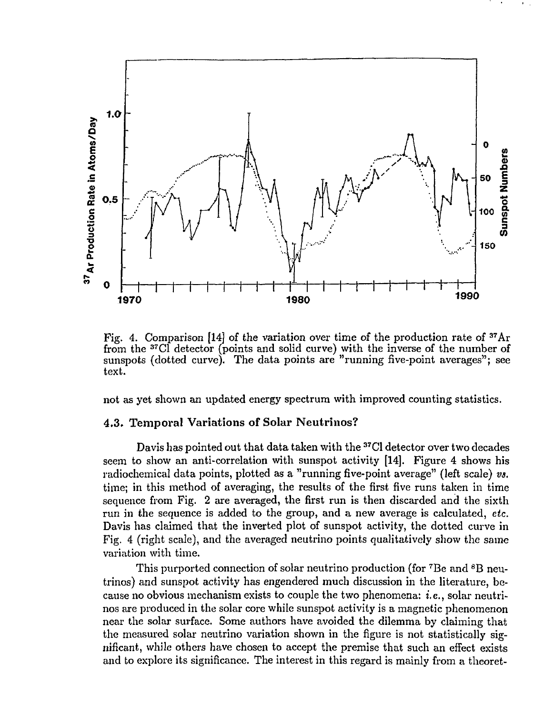

Fig. 4. Comparison [14] of the variation over time of the production rate of <sup>37</sup>Ar from the <sup>37</sup>Cl detector (points and solid curve) with the inverse of the number of sunspots (dotted curve). The data points are "running five-point averages"; see text.

not as yet shown an updated energy spectrum with improved counting statistics.

## **4.3. Temporal Variations of Solar Neutrinos?**

Davis has pointed out that data taken with the <sup>37</sup>C1 detector over two decades seem to show an anti-correlation with sunspot activity [14]. Figure 4 shows his radiochemical data points, plotted as a "running five-point average" (left scale) *vs.* time; in this method of averaging, the results of the first five runs taken in time sequence from Fig. 2 are averaged, the first run is then discarded and the sixth run in the sequence is added to the group, and a new average is calculated, *etc.* Davis has claimed that the inverted plot of sunspot activity, the dotted curve in Fig. 4 (right scale), and the averaged neutrino points qualitatively show the same variation with time.

This purported connection of solar neutrino production (for <sup>7</sup>Be and <sup>8</sup>B neutrinos) and sunspot activity has engendered much discussion in the literature, because no obvious mechanism exists to couple the two phenomena: i.e., solar neutrinos are produced in the solar core while sunspot activity is a magnetic phenomenon near the solar surface. Some authors have avoided the dilemma by claiming that the measured solar neutrino variation shown in the figure is not statistically significant, while others have chosen to accept the premise that such an effect exists and to explore its significance. The interest in this regard is mainly from a theoret-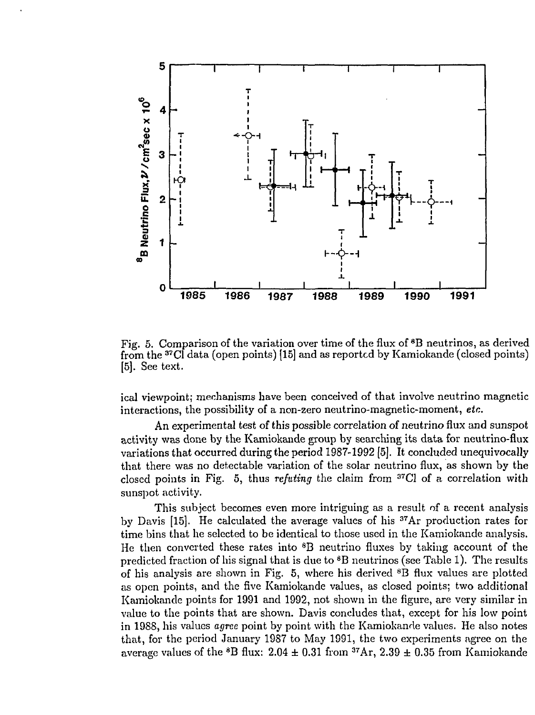

Fig. 5. Comparison of the variation over time of the flux of <sup>8</sup>B neutrinos, as derived from the <sup>37</sup>C1 data (open points) [15] and as reported by Kamiokande (closed points) [5]. See text.

ical viewpoint; mechanisms have been conceived of that involve neutrino magnetic interactions, the possibility of a non-zero neutrino-magnetic-moment, *etc.*

An experimental test of this possible correlation of neutrino flux and sunspot activity was done by the Kamiokande group by searching its data for neutrino-flux variations that occurred during the period 1987-1992 [5]. It concluded unequivocally that there was no detectable variation of the solar neutrino flux, as shown by the closed points in Fig. 5, thus *refuting* the claim from <sup>37</sup>C1 of a correlation with sunspot activity.

This subject becomes even more intriguing as a result of a recent analysis by Davis [15]. He calculated the average values of his <sup>37</sup>Ar production rates for time bins that he selected to be identical to those used in the Kamiokande analysis. He then converted these rates into <sup>8</sup>B neutrino fluxes by taking account of the predicted fraction of his signal that is due to <sup>8</sup>B neutrinos (see Table 1). The results of his analysis are shown in Fig. 5, where his derived  ${}^{8}$ B flux values are plotted as open points, and the five Kamiokande values, as closed points; two additional Kamiokande points for 1991 and 1992, not shown in the figure, are very similar in value to the points that are shown. Davis concludes that, except for his low point in 1988, his values *agree* point by point with the Kamiokande values. He also notes that, for the period January 1987 to May 1991, the two experiments agree on the average values of the  ${}^{8}B$  flux:  $2.04 \pm 0.31$  from  ${}^{37}Ar$ ,  $2.39 \pm 0.35$  from Kamiokande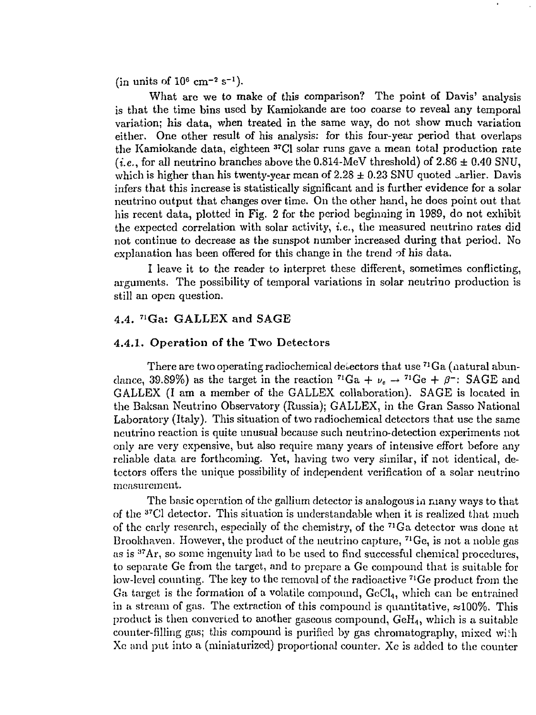(in units of  $10^6$  cm<sup>-2</sup> s<sup>-1</sup>).

What are we to make of this comparison? The point of Davis' analysis is that the time bins used by Kamiokande are too coarse to reveal any temporal variation; his data, when treated in the same way, do not show much variation either. One other result of his analysis: for this four-year period that overlaps the Kamiokande data, eighteen <sup>37</sup>C1 solar runs gave a mean total production rate  $(i.e.,$  for all neutrino branches above the 0.814-MeV threshold) of  $2.86 \pm 0.40$  SNU, which is higher than his twenty-year mean of  $2.28 \pm 0.23$  SNU quoted sarlier. Davis infers that this increase is statistically significant and is further evidence for a solar neutrino output that changes over time. On the other hand, he does point out that his recent data, plotted in Fig. 2 for the period beginning in 1989, do not exhibit the expected correlation with solar activity, i.e., the measured neutrino rates did not continue to decrease as the sunspot number increased during that period. No explanation has been offered for this change in the trend of his data.

I leave it to the reader to interpret these different, sometimes conflicting, arguments. The possibility of temporal variations in solar neutrino production is still an open question.

## 4.4. <sup>71</sup>Ga: GALLEX and SAGE

#### 4.4.1. **Operation** of **the** Two Detectors

There are two operating radiochemical detectors that use  ${}^{71}\mathrm{Ga}$  (natural abundance, 39.89%) as the target in the reaction <sup>71</sup>Ga +  $\nu_e \rightarrow$  <sup>71</sup>Ge +  $\beta^-$ : SAGE and GALLEX (I am a member of the GALLEX collaboration). SAGE is located in the Baksan Neutrino Observatory (Russia); GALLEX, in the Gran Sasso National Laboratory (Italy). This situation of two radiochemical detectors that use the same neutrino reaction is quite unusual because such neutrino-detection experiments not only are very expensive, but also require many years of intensive effort before any reliable data are forthcoming. Yet, having two very similar, if not identical, detectors offers the unique possibility of independent verification of a solar neutrino measurement.

The basic operation of the gallium detector is analogous in many ways to that of the <sup>37</sup>C1 detector. This situation is understandable when it is realized that much of the early research, especially of the chemistry, of the <sup>71</sup>Ga detector was done at Brookhaven. However, the product of the neutrino capture, <sup>71</sup>Ge, is not a noble gas as is <sup>37</sup>Ar, so some ingenuity had to be used to find successful chemical procedures, to separate Ge from the target, and to prepare a Ge compound that is suitable for low-level counting. The key to the removal of the radioactive <sup>71</sup>Ge product from the Ga target is the formation of a volatile compound,  $\text{GeCl}_4$ , which can be entrained in a stream of gas. The extraction of this compound is quantitative,  $\approx 100\%$ . This product is then converted to another gaseous compound, GeH4, which is a suitable counter-filling gas; this compound is purified by gas chromatography, mixed wi.'h Xe and put into a (miniaturized) proportional counter. Xe is added to the counter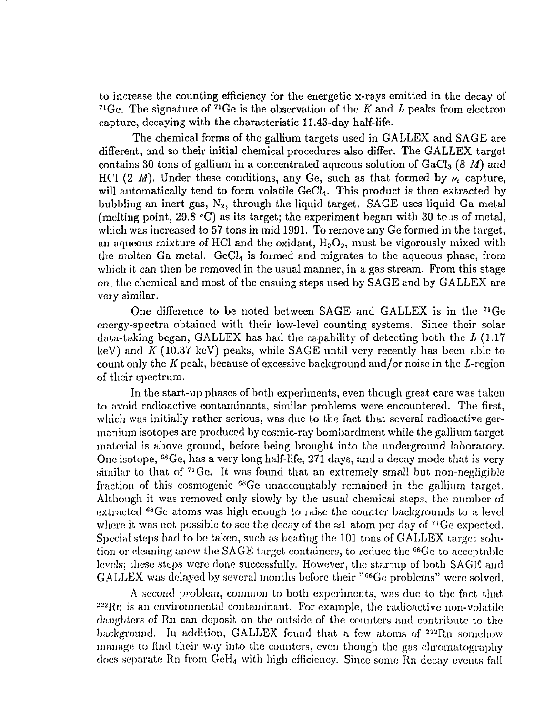to increase the counting efficiency for the energetic x-rays emitted in the decay of <sup>71</sup>Ge. The signature of <sup>71</sup>Ge is the observation of the *K* and *L* peaks from electron capture, decaying with the characteristic 11.43-day half-life.

The chemical forms of the gallium targets used in GALLEX and SAGE are different, and so their initial chemical procedures also differ. The GALLEX target contains 30 tons of gallium in a concentrated aqueous solution of GaCl<sub>3</sub> (8 M) and HCl (2 M). Under these conditions, any Ge, such as that formed by  $\nu_e$  capture, will automatically tend to form volatile GeCl<sub>4</sub>. This product is then extracted by bubbling an inert gas,  $N_2$ , through the liquid target. SAGE uses liquid Ga metal (melting point, 29.8 *°C)* as its target; the experiment began with 30 to as of metal, which was increased to 57 tons in mid 1991. To remove any Ge formed in the target, an aqueous mixture of HCl and the oxidant,  $H_2O_2$ , must be vigorously mixed with the molten Ga metal. GeCl<sub>4</sub> is formed and migrates to the aqueous phase, from which it can then be removed in the usual manner, in a gas stream. From this stage on, the chemical and most of the ensuing steps used by SAGE and by GALLEX are very similar.

One difference to be noted between SAGE and GALLEX is in the <sup>71</sup>Ge energy-spectra obtained with their low-level counting systems. Since their solar data-taking began, GALLEX has had the capability of detecting both the *L* (1.17 keV) and *K* (10.37 keV) peaks, while SAGE until very recently has been able to count only the K peak, because of excessive background and/or noise in the  $L$ -region of their spectrum.

In the start-up phases of both experiments, even though great care was taken to avoid radioactive contaminants, similar problems were encountered. The first, which was initially rather serious, was due to the fact that several radioactive germanium isotopes arc produced by cosmic-ray bombardment while the gallium target material is above ground, before being brought into the underground laboratory. One isotope,  $^{68}$ Ge, has a very long half-life, 271 days, and a decay mode that is very similar to that of  $71$  Ge. It was found that an extremely small but non-negligible fraction of this cosmogenic <sup>68</sup>Ge unaccountably remained in the gallium target. Although it was removed only slowly by the usual chemical steps, the number of extracted <sup>68</sup>Ge atoms was high enough to raise the counter backgrounds to a level where it was not possible to see the decay of the  $\approx 1$  atom per day of <sup>71</sup>Ge expected. Special steps had to be taken, such as heating the 101 tons of GALLEX target, solution or cleaning anew the SAGE target containers, to reduce the <sup>68</sup>Ge to acceptable levels; these steps were done successfully. However, the startup of both SAGE and GALLEX was delayed by several months before their "<sup>os</sup>Ge problems" were solved.

A second problem, common to both experiments, was due to the fact that  $222Rn$  is an environmental contaminant. For example, the radioactive non-volatile daughters of Rn can deposit on the outside of the counters and contribute to the background. In addition, GALLEX found that a few atoms of  $222 \text{Rn}$  somehow manage to find their way into the counters, even though the gas chromatography docs separate Rn from GcH4 with high efficiency. Since some Rn decay events fall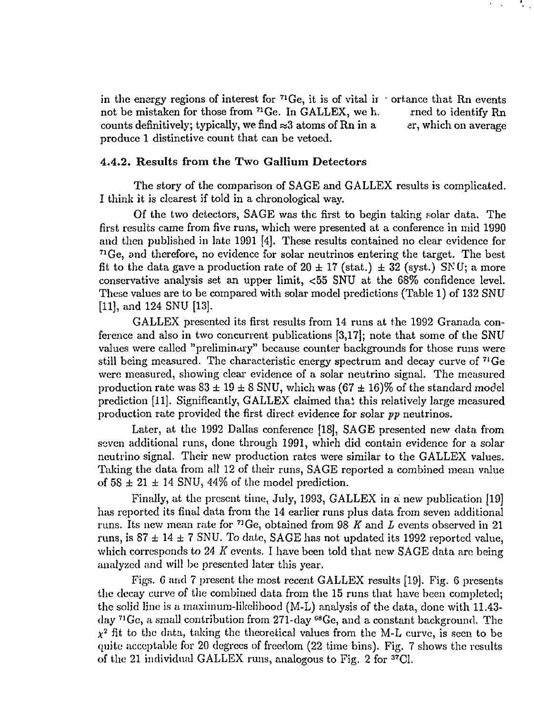in the energy regions of interest for  $71\text{Ge}$ , it is of vital ir  $\cdot$  ortance that Rn events not be mistaken for those from <sup>71</sup>Ge. In GALLEX, we h. rned to identify Rn counts definitively; typically, we find  $\approx 3$  atoms of Rn in a er, which on average produce 1 distinctive count that can be vetoed.

### **4.4.2. Results from the Two Gallium Detectors**

The story of the comparison of SAGE and GALLEX results is complicated. I think it is clearest if told in a chronological way.

Of the two detectors, SAGE was the first to begin taking solar data. The first results came from five runs, which were presented at a conference in mid 1990 and then published in late 1991 [4]. These results contained no clear evidence for <sup>71</sup>Ge, and therefore, no evidence for solar neutrinos entering the target. The best fit to the data gave a production rate of  $20 \pm 17$  (stat.)  $\pm 32$  (syst.) SNU; a more conservative analysis set an upper limit, <55 SNU at the 68% confidence level. These values are to be compared with solar model predictions (Table 1) of 132 SNU [11], and 124 SNU [13].

GALLEX presented its first results from 14 runs at the 1992 Granada conference and also in two concurrent publications [3,17]; note that some of the SNU values were called "preliminary" because counter backgrounds for those runs were still being measured. The characteristic energy spectrum and decay curve of <sup>71</sup>Ge were measured, showing clear evidence of a solar neutrino signal. The measured production rate was  $83 \pm 19 \pm 8$  SNU, which was  $(67 \pm 16) \%$  of the standard model prediction [11]. Significantly, GALLEX claimed thai this relatively large measured production rate provided the first direct evidence for solar *pp* neutrinos.

Later, at the 1992 Dallas conference [18], SAGE presented new data from seven additional runs, done through 1991, which did contain evidence for a solar neutrino signal. Their new production rates were similar to the GALLEX values. Taking the data from all 12 of their runs, SAGE reported a combined mean value of  $58 \pm 21 \pm 14$  SNU, 44% of the model prediction.

Finally, at the present time, July, 1993, GALLEX in a new publication [19] has reported its final data from the 14 earlier runs plus data from seven additional runs. Its new mean rate for <sup>71</sup>Ge, obtained from 98 *K* and *L* events observed in 21 runs, is  $87 \pm 14 \pm 7$  SNU. To date, SAGE has not updated its 1992 reported value, which corresponds to 24 *K* events. I have been told that new SAGE data are being analyzed and will be presented later this year.

Figs. G and 7 present the most recent GALLEX results [19]. Fig. 6 presents the decay curve of the combined data from the 15 runs that have been completed; the solid line is a maximum-likelihood (M-L) analysis of the data, done with 11.43 day <sup>71</sup>Ge, a small contribution from 271-day <sup>68</sup>Ge, and a constant background. The  $\chi^2$  fit to the data, taking the theoretical values from the M-L curve, is seen to be quite acceptable for 20 degrees of freedom (22 time bins). Fig. 7 shows the results of the 21 individual GALLEX runs, analogous to Fig. 2 for <sup>37</sup>Cl.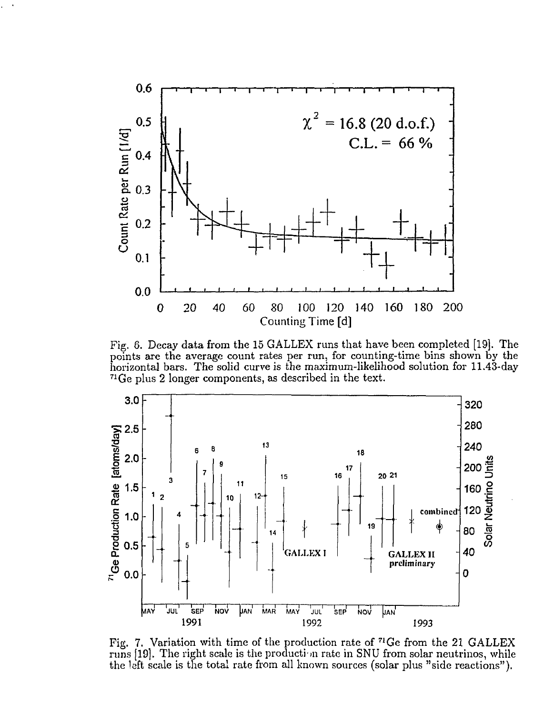

Fig. 6. Decay data from the 15 GALLEX runs that have been completed [19]. The points are the average count rates per run, for counting-time bins shown by the horizontal bars. The solid curve is the maximum-likelihood solution for 11.43-day <sup>71</sup>Ge plus 2 longer components, as described in the text.



Fig. 7. Variation with time of the production rate of <sup>71</sup>Ge from the 21 GALLEX runs [19]. The right scale is the production rate in SNU from solar neutrinos, while the left scale is the total rate from all known sources (solar plus "side reactions").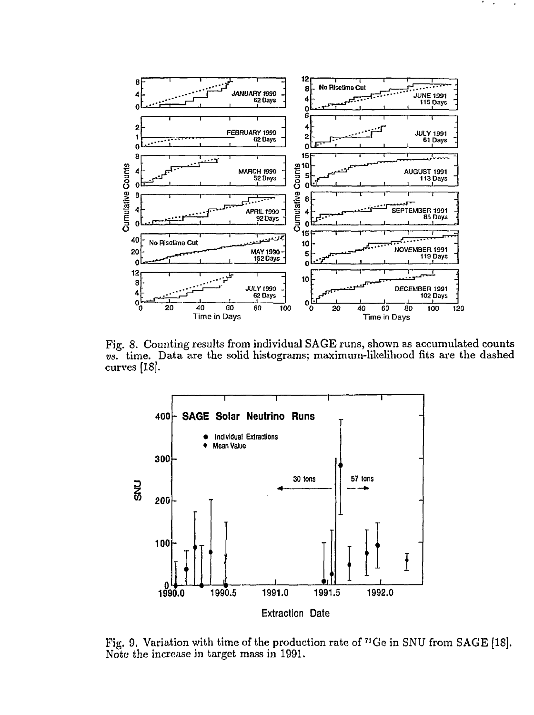

Fig. 8. Counting results from individual SAGE runs, shown as accumulated counts *vs.* time. Data are the solid histograms; maximum-likelihood fits are the dashed curves [18].



Fig. 9. Variation with time of the production rate of  $^{71}$ Ge in SNU from SAGE [18]. Note the increase in target mass in 1991.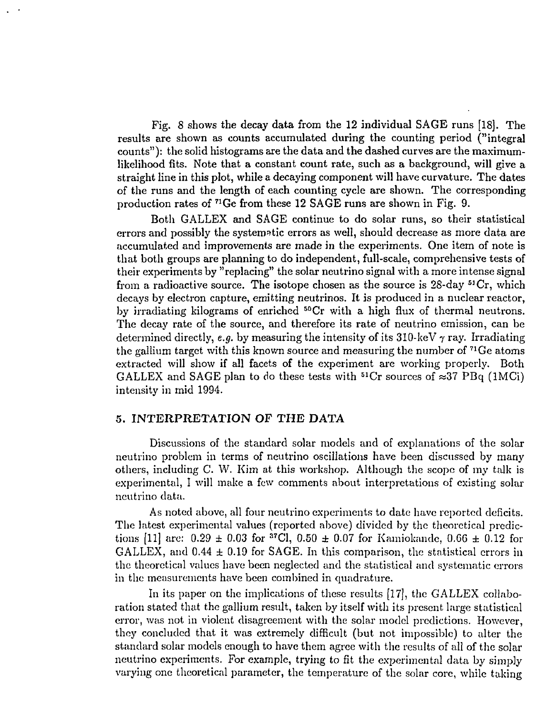Fig. 8 shows the decay data from the 12 individual SAGE runs [18]. The results are shown as counts accumulated during the counting period ("integral counts"): the solid histograms are the data and the dashed curves are the maximumlikelihood fits. Note that a constant count rate, such as a background, will give a straight line in this plot, while a decaying component will have curvature. The dates of the runs and the length of each counting cycle are shown. The corresponding production rates of <sup>71</sup>Ge from these 12 SAGE runs are shown in Fig. 9.

Both GALLEX and SAGE continue to do solar runs, so their statistical errors and possibly the systematic errors as well, should decrease as more data are accumulated and improvements are made in the experiments. One item of note is that both groups are planning to do independent, full-scale, comprehensive tests of their experiments by "replacing" the solar neutrino signal with a more intense signal from a radioactive source. The isotope chosen as the source is 28-day <sup>51</sup>Cr, which decays by electron capture, emitting neutrinos. It is produced in a nuclear reactor, by irradiating kilograms of enriched <sup>50</sup>Cr with a high flux of thermal neutrons. The decay rate of the source, and therefore its rate of neutrino emission, can be determined directly, *e.g.* by measuring the intensity of its 310-keV  $\gamma$  ray. Irradiating the gallium target with this known source and measuring the number of  $1^1$ Ge atoms extracted will show if all facets of the experiment are working properly. Both GALLEX and SAGE plan to do these tests with  ${}^{51}Cr$  sources of  $\approx$ 37 PBq (1MCi) intensity in mid 1994.

## 5. **INTERPRETATION** OF **THE DATA**

Discussions of the standard solar models and of explanations of the solar neutrino problem in terms of neutrino oscillations have been discussed by many others, including C. W. Kim at this workshop. Although the scope of my talk is experimental, I will make a few comments about interpretations of existing solar neutrino data.

As noted above, all four neutrino experiments to date have reported deficits. The latest experimental values (reported above) divided by the theoretical predictions [11] are: 0.29 ± 0.03 for <sup>37</sup>C1, 0.50 *±* 0.07 for Kamiokande, 0.66 ± 0.12 for GALLEX, and  $0.44 \pm 0.19$  for SAGE. In this comparison, the statistical errors in the theoretical values have been neglected and the statistical and systematic errors in the measurements have been combined in quadrature.

In its paper on the implications of these results [17], the GALLEX collaboration stated that the gallium result, taken by itself with its present large statistical error, was not in violent disagreement with the solar model predictions. However, they concluded that it was extremely difficult (but not impossible) to alter the standard solar models enough to have them agree with the results of all of the solar neutrino experiments. For example, trying to fit the experimental data by simply varying one theoretical parameter, the temperature of the solar core, while taking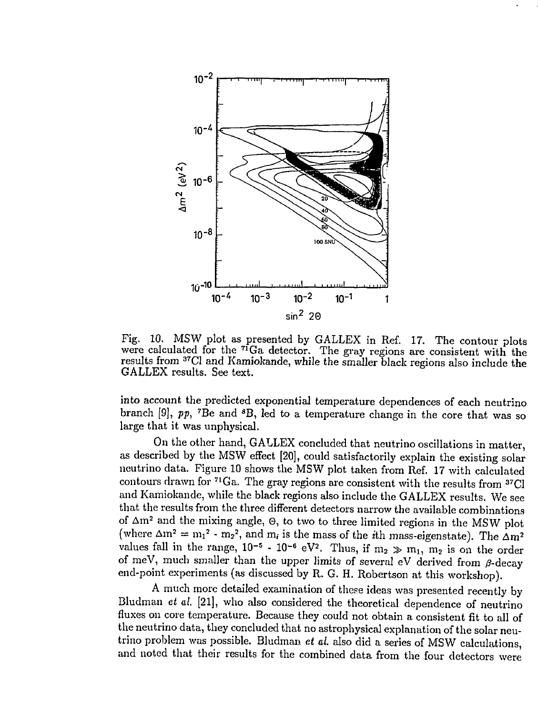

Fig. 10. MSW plot as presented by GALLEX in Ref. 17. The contour plots were calculated for the <sup>71</sup>Ga detector. The gray regions are consistent with the results from <sup>37</sup>Cl and Kamiokande, while the smaller black regions also include the GALLEX results. See text.

into account the predicted exponential temperature dependences of each neutrino branch [9], pp, <sup>7</sup>Be and <sup>8</sup>B, led to a temperature change in the core that was so large that it was unphysical.

On the other hand, GALLEX concluded that neutrino oscillations in matter, as described by the MSW effect [20], could satisfactorily explain the existing solar neutrino data. Figure 10 shows the MSW plot taken from Ref. 17 with calculated contours drawn for <sup>71</sup>Ga. The gray regions are consistent with the results from <sup>37</sup>C and Kamiokande, while the black regions also include the GALLEX results. We see that the results from the three different detectors narrow the available combinations of  $\Delta m^2$  and the mixing angle,  $\Theta$ , to two to three limited regions in the MSW plot (where  $\Delta m^2 = m_1^2 - m_2^2$ , and  $m_i$  is the mass of the *i*th mass-eigenstate). The  $\Delta m^2$ values fall in the range,  $10^{-5}$  -  $10^{-6}$  eV<sup>2</sup>. Thus, if  $m_2 \gg m_1$ ,  $m_2$  is on the order of meV, much smaller than the upper limits of several eV derived from  $\beta$ -decay end-point experiments (as discussed by R. G. H. Robertson at this workshop).

A much more detailed examination of these ideas was presented recently by Bludman *et d.* [21], who also considered the theoretical dependence of neutrino fluxes on core temperature. Because they could not obtain a consistent fit to all of the neutrino data, they concluded that no astrophysical explanation of the solar neutrino problem was possible. Bludman *et al.* also did a series of MSW calculations, and noted that their results for the combined data from the four detectors were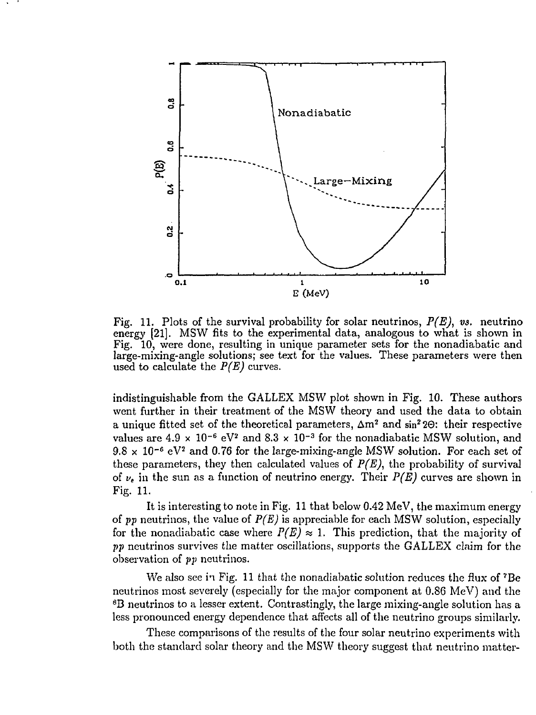

Fig. 11. Plots of the survival probability for solar neutrinos, *P(E), vs.* neutrino energy [21]. MSW fits to the experimental data, analogous to what is shown in Fig. 10, were done, resulting in unique parameter sets for the nonadiabatic and large-mixing-angle solutions; see text for the values. These parameters were then used to calculate the *P(E)* curves.

indistinguishable from the GALLEX MSW plot shown in Fig. 10. These authors went further in their treatment of the MSW theory and used the data to obtain a unique fitted set of the theoretical parameters,  $\Delta m^2$  and sin<sup>2</sup> 20: their respective values are  $4.9 \times 10^{-6}$  eV<sup>2</sup> and  $8.3 \times 10^{-3}$  for the nonadiabatic MSW solution, and  $9.8 \times 10^{-6}$  eV<sup>2</sup> and 0.76 for the large-mixing-angle MSW solution. For each set of these parameters, they then calculated values of  $P(E)$ , the probability of survival of *v<sup>t</sup>* in the sun as a function of neutrino energy. Their *P(E)* curves are shown in Fig. 11.

It is interesting to note in Fig. 11 that below 0.42 MeV, the maximum energy of *pp* neutrinos, the value of *P(E)* is appreciable for each MSW solution, especially for the nonadiabatic case where  $P(E) \approx 1$ . This prediction, that the majority of *pp* neutrinos survives the matter oscillations, supports the GALLEX claim for the observation of *pp* neutrinos.

We also see in Fig. 11 that the nonadiabatic solution reduces the flux of <sup>7</sup>Be neutrinos most severely (especially for the major component at 0.86 MeV) and the <sup>8</sup>B neutrinos to a lesser extent. Contrastingly, the large mixing-angle solution has a less pronounced energy dependence that affects all of the neutrino groups similarly.

These comparisons of the results of the four solar neutrino experiments with both the standard solar theory and the MSW theory suggest that neutrino matter-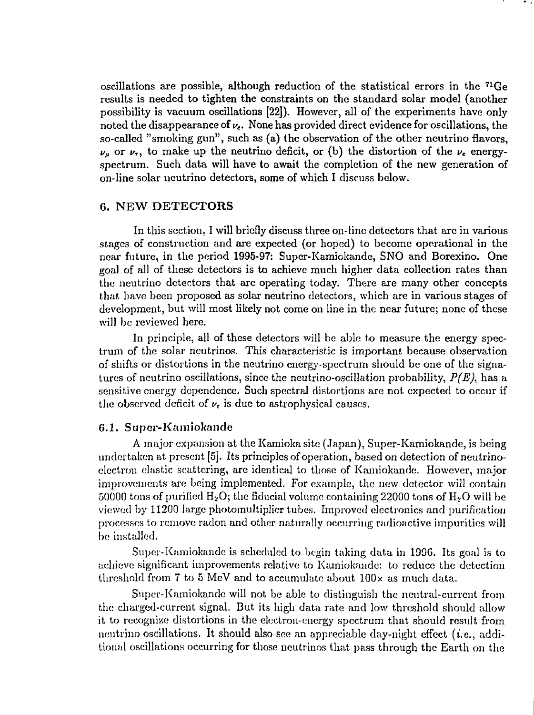oscillations are possible, although reduction of the statistical errors in the <sup>71</sup>Ge results is needed to tighten **the** constraints on the standard solar model (another possibility is vacuum oscillations **[22]).** However, all of the experiments have only noted the disappearance of  $\nu_e$ . None has provided direct evidence for oscillations, the so-called "smoking gun", such as (a) the observation of the other neutrino flavors,  $\nu_{\mu}$  or  $\nu_{\tau}$ , to make up the neutrino deficit, or (b) the distortion of the  $\nu_{\epsilon}$  energyspectrum. Such data will have to await the completion of the new generation of on-line solar neutrino detectors, some of which I discuss below.

## **6. NEW DETECTORS**

In this section. I will briefly discuss three on-line detectors that are in various stages of construction and are expected (or hoped) to become operational in the near future, in the period 1995-97: Super-Kamiokande, SNO and Borexino. One goal of all of these detectors is to achieve much higher data collection rates than the neutrino detectors that are operating today. There are many other concepts that have been proposed as solar neutrino detectors, which are in various stages of development, but will most likely not come on line in the near future; none of these will be reviewed here.

In principle, all of these detectors will be able to measure the energy spectrum of the solar neutrinos. This characteristic is important because observation of shifts or distortions in the neutrino energy-spectrum should be one of the signatures of neutrino oscillations, since the neutrino-oscillation probability, *P(E),* has a sensitive energy dependence. Such spectral distortions are not expected to occur if the observed deficit of  $\nu_e$  is due to astrophysical causes.

## G.I. **Super-Kamiokande**

A major expansion at the Kamiokasite (Japan), Super-Kamiokande, is being undertaken at present [5]. Its principles of operation, based on detection of neutrinoelectron elastic scattering, are identical to those of Kamiokande. However, major improvements are being implemented. For example, the new detector will contain 50000 tons of purified  $H_2O$ ; the fiducial volume containing 22000 tons of  $H_2O$  will be viewed by 11200 large photomultiplier tubes. Improved electronics and purification processes to remove radon and other naturally occurring radioactive impurities will be installed.

Super-Kamiokande is scheduled to begin taking data in 1996. Its goal is to achieve significant improvements relative to Kamiokande: to reduce the detection threshold from 7 to 5 MeV and to accumulate about  $100 \times$  as much data.

Super-Kamiokande will not be able to distinguish the neutral-current from the charged-current signal. But its high data rate and low threshold should allow it to recognize distortions in the electron-energy spectrum that should result from neutrino oscillations. It should also see an appreciable day-night effect  $(i.e., addi-)$ tional oscillations occurring for those neutrinos that pass through the Earth on the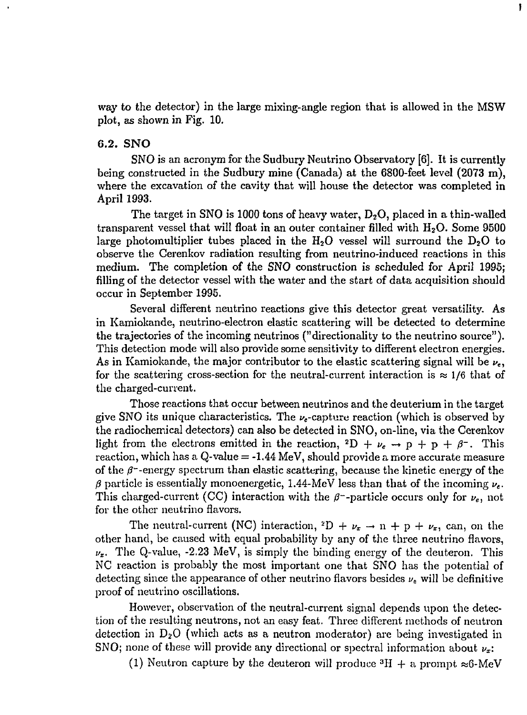way to the detector) in the large mixing-angle region that is allowed in the MSW plot, as shown in Fig. 10.

 $\mathbf{I}$ 

## 6.2. SNO

SNO is an acronym for the Sudbury Neutrino Observatory [6]. It is currently being constructed in the Sudbury mine (Canada) at the 6800-feet level (2073 m), where the excavation of the cavity that will house the detector was completed in April 1993.

The target in SNO is 1000 tons of heavy water,  $D_2O$ , placed in a thin-walled transparent vessel that will float in an outer container filled with  $H_2O$ . Some 9500 large photomultiplier tubes placed in the  $H_2O$  vessel will surround the  $D_2O$  to observe the Cerenkov radiation resulting from neutrino-induced reactions in this medium. The completion of the SNO construction is scheduled for April 1995; filling of the detector vessel with the water and the start of data acquisition should occur in September 1995.

Several different neutrino reactions give this detector great versatility. As in Kamiokande, neutrino-electron elastic scattering will be detected to determine the trajectories of the incoming neutrinos ("directionality to the neutrino source"). This detection mode will also provide some sensitivity to different electron energies. As in Kamiokande, the major contributor to the elastic scattering signal will be *vc,* for the scattering cross-section for the neutral-current interaction is  $\approx 1/6$  that of the charged-current.

Those reactions that occur between neutrinos and the deuterium in the target give SNO its unique characteristics. The  $\nu_e$ -capture reaction (which is observed by the radiochernical detectors) can also be detected in SNO, on-line, via the Cerenkov light from the electrons emitted in the reaction,  ${}^{2}D + \nu_{e} \rightarrow p + p + \beta^{-}$ . This reaction, which has a  $Q$ -value  $= -1.44$  MeV, should provide a more accurate measure of the  $\beta$ <sup>-</sup>-energy spectrum than elastic scattering, because the kinetic energy of the  $\beta$  particle is essentially monoenergetic, 1.44-MeV less than that of the incoming  $\nu_e$ . This charged-current (CC) interaction with the  $\beta$ -particle occurs only for  $\nu_e$ , not for the other neutrino flavors.

The neutral-current (NC) interaction,  ${}^{2}D + \nu_{x} \rightarrow n + p + \nu_{x}$ , can, on the other hand, be caused with equal probability by any of the three neutrino flavors,  $\nu_x$ . The Q-value, -2.23 MeV, is simply the binding energy of the deuteron. This NC reaction is probably the most important one that SNO has the potential of detecting since the appearance of other neutrino flavors besides  $\nu_c$  will be definitive proof of neutrino oscillations.

However, observation of the neutral-current signal depends upon the detection of the resulting neutrons, not an easy feat. Three different methods of neutron detection in D2O (which acts as a neutron moderator) are being investigated in SNO; none of these will provide any directional or spectral information about *vx:*

(1) Neutron capture by the deuteron will produce  ${}^{3}H +$  a prompt  $\approx$ 6-MeV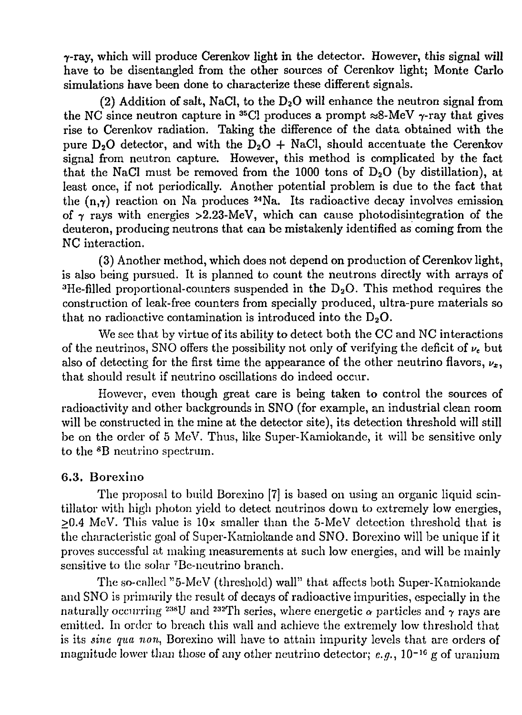7-ray, which will produce Cerenkov light in the detector. However, this signal **will** have to be disentangled from the other sources of Cerenkov light; Monte Carlo simulations have been done to characterize these different signals.

(2) Addition of salt, NaCl, to the  $D_2O$  will enhance the neutron signal from the NC since neutron capture in <sup>35</sup>Cl produces a prompt  $\approx$ 8-MeV  $\gamma$ -ray that gives rise to Cerenkov radiation. Taking the difference of the data obtained with the pure D<sub>2</sub>O detector, and with the D<sub>2</sub>O + NaCl, should accentuate the Cerenkov signal from neutron capture. However, this method is complicated by the fact that the NaCl must be removed from the 1000 tons of  $D_2O$  (by distillation), at least once, if not periodically. Another potential problem is due to the fact that the  $(n, \gamma)$  reaction on Na produces <sup>24</sup>Na. Its radioactive decay involves emission of  $\gamma$  rays with energies >2.23-MeV, which can cause photodisintegration of the deuteron, producing neutrons that can be mistakenly identified as coming from the NC interaction.

(3) Another method, which does not depend on production of Cerenkov light, is also being pursued. It is planned to count the neutrons directly with arrays of <sup>3</sup>He-filled proportional-counters suspended in the  $D_2O$ . This method requires the construction of leak-free counters from specially produced, ultra-pure materials so that no radioactive contamination is introduced into the  $D_2O$ .

We see that by virtue of its ability to detect both the CC and NC interactions of the neutrinos, SNO offers the possibility not only of verifying the deficit of  $\nu_e$  but also of detecting for the first time the appearance of the other neutrino flavors,  $\nu_x$ , that should result if neutrino oscillations do indeed occur.

However, even though great care is being taken to control the sources of radioactivity and other backgrounds in SNO (for example, an industrial clean room will be constructed in the mine at the detector site), its detection threshold will still be on the order of 5 MeV. Thus, like Super-Kamiokande, it will be sensitive only to the <sup>8</sup>B neutrino spectrum.

# 6.3. Borexino

The proposal to build Borexino [7] is based on using an organic liquid scintillator with high photon yield to detect neutrinos down to extremely low energies,  $\geq 0.4$  MeV. This value is  $10 \times$  smaller than the 5-MeV detection threshold that is the characteristic goal of Super-Kamiokande and SNO. Borexino will be unique if it proves successful at making measurements at such low energies, and will be mainly sensitive to the solar <sup>7</sup>Be-neutrino branch.

The so-called "5-MeV (threshold) wall" that affects both Super-Kamiokande and SNO is primarily the result of decays of radioactive impurities, especially in the naturally occurring <sup>238</sup>U and <sup>232</sup>Th series, where energetic  $\alpha$  particles and  $\gamma$  rays are emitted. In order to breach this wall and achieve the extremely low threshold that is its *sine qua non,* Borexino will have to attain impurity levels that are orders of magnitude lower than those of any other neutrino detector; *e.g.,* 10~<sup>16</sup> g of uranium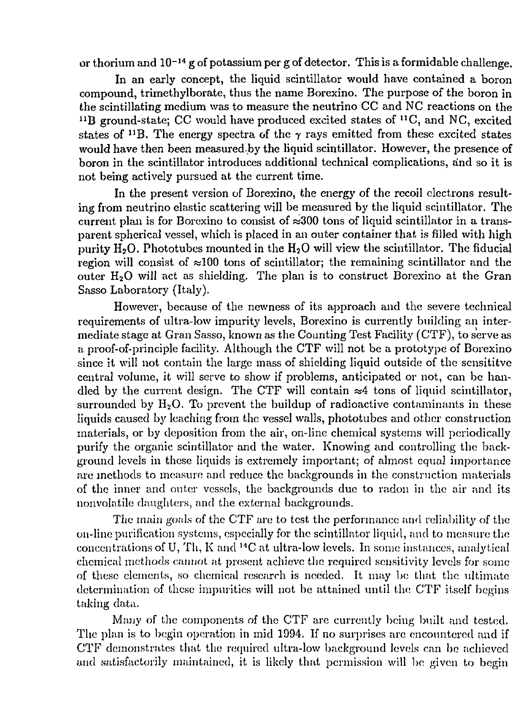or thorium and 10<sup>-14</sup> g of potassium per g of detector. This is a formidable challenge.

In an early concept, the liquid scintillator would have contained a boron compound, trimethylborate, thus the name Borexino. The purpose of the boron in the scintillating medium was to measure the neutrino CC and NC reactions on the  $^{11}B$  ground-state; CC would have produced excited states of  $^{11}C$ , and NC, excited states of <sup>11</sup>B. The energy spectra of the  $\gamma$  rays emitted from these excited states would have then been measured .by the liquid scintillator. However, the presence of boron in the scintillator introduces additional technical complications, and so it is not being actively pursued at the current time.

In the present version of Borexino, the energy of the recoil electrons resulting from neutrino elastic scattering will be measured by the liquid scintillator. The current plan is for Borexino to consist of  $\approx 300$  tons of liquid scintillator in a transparent spherical vessel, which is placed in an outer container that is filled with high purity  $H_2O$ . Phototubes mounted in the  $H_2O$  will view the scintillator. The fiducial region will consist of  $\approx 100$  tons of scintillator; the remaining scintillator and the outer  $H_2O$  will act as shielding. The plan is to construct Borexino at the Gran Sasso Laboratory (Italy).

However, because of the newness of its approach and the severe technical requirements of ultra-low impurity levels, Borexino is currently building an intermediate stage at Gran Sasso, known as the Counting Test Facility (CTF), to serve as a proof-of-principle facility. Although the CTF will not be a prototype of Borexino since it will not contain the large mass of shielding liquid outside of the sensititve central volume, it will serve to show if problems, anticipated or not, can be handled by the current design. The CTF will contain  $\approx 4$  tons of liquid scintillator, surrounded by  $H_2O$ . To prevent the buildup of radioactive contaminants in these liquids caused by leaching from the vessel walls, phototubes and other construction materials, or by deposition from the air, on-line chemical systems will periodically purify the organic scintillator and the water. Knowing and controlling the background levels in these liquids is extremely important; of almost equal importance are methods to measure and reduce the backgrounds in the construction materials of the inner and outer vessels, the backgrounds due to radon in the air and its nonvolatile daughters, and the external backgrounds.

The main goals of the CTF arc to test the performance and reliability of the 011-line purification systems, especially for the scintillator liquid, and to measure the  $\frac{1}{\text{concentrations of U, Th, K and }^{14}\text{C at ultra-low levels. In some instances, analytical}$ chemical methods cannot, at present achieve the required sensitivity levels for some of these elements, so chemical research is needed. It may bo that the ultimate determination of these impurities will not be attained until the CTF itself begins taking data.

Many of the components of the CTF are currently being built and tested. The plan is to begin operation in mid 1994. If no surprises arc encountered and if CTF demonstrates that the required ultra-low background levels can be achieved and satisfactorily maintained, it is likely that permission will be given to begin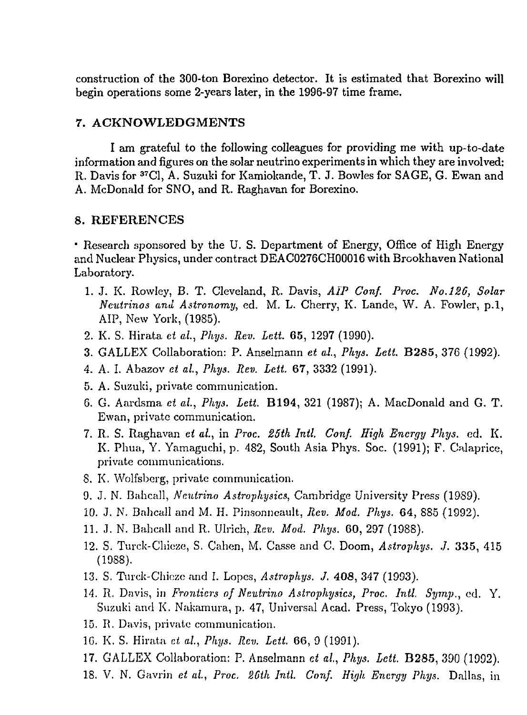construction of the 300-ton Borexino detector. It is estimated that Borexino **will** begin operations some 2-years later, in the 1996-97 time frame.

### **7. ACKNOWLEDGMENTS**

**I** am grateful to the following colleagues for providing me with up-to-date information and figures on the solar neutrino experiments in which they are involved: R. Davis for <sup>37</sup>C1, A. Suzuki for Kamiokande, T. J. Bowles for SAGE, G. Ewan and A. McDonald for SNO, and R. Raghavan for Borexino.

#### **8. REFERENCES**

\* Research sponsored by the U. S. Department of Energy, Office of High Energy and Nuclear Physics, under contract DEAC0276CH00016 with Brcokhaven National Laboratory.

- 1. J. K. Rowley, B. T. Cleveland, R. Davis, *AIP Conf. Proc. No.126, Solar Neutrinos and Astronomy,* ed. M. L. Cherry, K. Lande, W. A. Fowler, p.l, AIP, New York, (1985).
- 2. K. S. Hirata *et al, Phys. Rev. Lett.* 65, 1297 (1990).
- 3. GALLEX Collaboration: P. Anselmann *et al., Phys. Lett.* **B285,** 376 (1992).
- 4. A. I. Abazov *et al., Phys. Rev. Lett.* 67, 3332 (1991).
- 5. A. Suzuki, private communication.
- 6. G. Aardsma *et al., Phys. Lett.* **B194,** 321 (1987); A. MacDonald and G. T. Ewan, private communication.
- 7. R. S. Raghavan *et al.,* in *Proc. 25th Intl. Conf. High Energy Phys.* ed. K. K. Phua, Y. Yamaguchi, p. 482, South Asia Phys. Soc. (1991); F. Cnlaprice, private communications.
- 8. K. Wolfsberg, private communication.
- 9. J. N. Bahcall, *Neutrino Astro-physics,* Cambridge University Press (19S9).
- 10. J. N. Bahcall and M. H. Pinsonncault, *Rev. Mod. Phys.* 64, 885 (1992).
- 11. J. N. Bahcall and R. Ulrich, *Rev. Mod. Phys.* 60, 297 (1988).
- 12. S. Turck-Chieze, S. Cahen, M. Casse and C. Doom, *Astrophys. J.* 335, 415 (1988).
- 13. S. Turck-Chicze and I. Lopes, *Astrophys. J.* 408, 347 (1993).
- 14. R. Davis, in *Frontiers of Neutrino Astrophysics, Proc. Intl. Symp.,* ed. Y. Suzuki and K. Nakamura, p. 47, Universal Acad. Press, Tokyo (1993).
- 15. R. Davis, private communication.
- 1G. K. S. Hirata *et al., Phys. Rev. Lett.* 66, 9 (1991).
- 17. GALLEX Collaboration: P. Anselmann *et ai, Phys. Lett.* **B285,** 390 (1992).
- IS. V. N. Gavrin *et al., Proc. 26th Intl. Conf. High Energy Phys.* Dallas, in